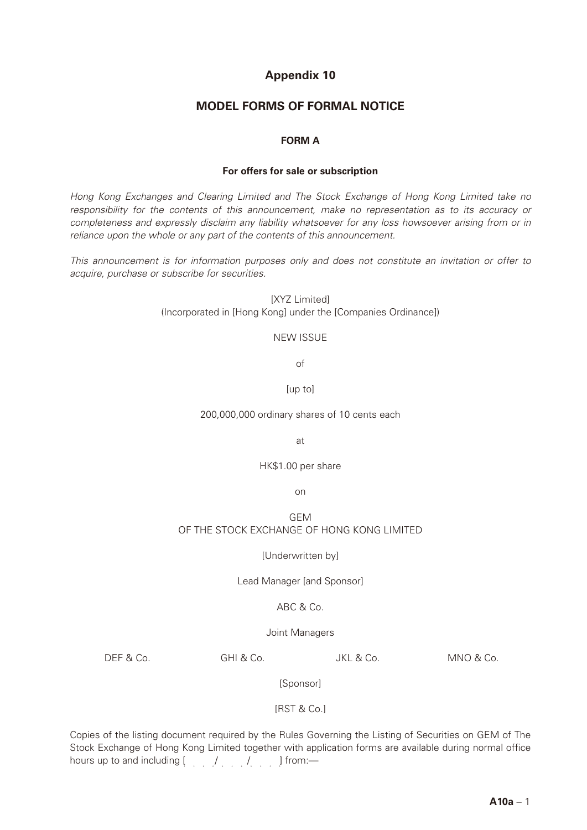# **Appendix 10**

## **MODEL FORMS OF FORMAL NOTICE**

## **FORM A**

#### **For offers for sale or subscription**

*Hong Kong Exchanges and Clearing Limited and The Stock Exchange of Hong Kong Limited take no responsibility for the contents of this announcement, make no representation as to its accuracy or completeness and expressly disclaim any liability whatsoever for any loss howsoever arising from or in reliance upon the whole or any part of the contents of this announcement.*

*This announcement is for information purposes only and does not constitute an invitation or offer to acquire, purchase or subscribe for securities.*

> **[XYZ Limited]** (Incorporated in [Hong Kong] under the [Companies Ordinance])

#### NEW ISSUE

of

[up to]

200,000,000 ordinary shares of 10 cents each

at

HK\$1.00 per share

on

## GEM OF THE STOCK EXCHANGE OF HONG KONG LIMITED

### [Underwritten by]

Lead Manager [and Sponsor]

## ABC & Co.

Joint Managers

DEF & Co. GHI & Co. JKL & Co. MNO & Co.

[Sponsor]

[RST & Co.]

Copies of the listing document required by the Rules Governing the Listing of Securities on GEM of The Stock Exchange of Hong Kong Limited together with application forms are available during normal office hours up to and including  $[ , , , , , , , , ]$  from:—